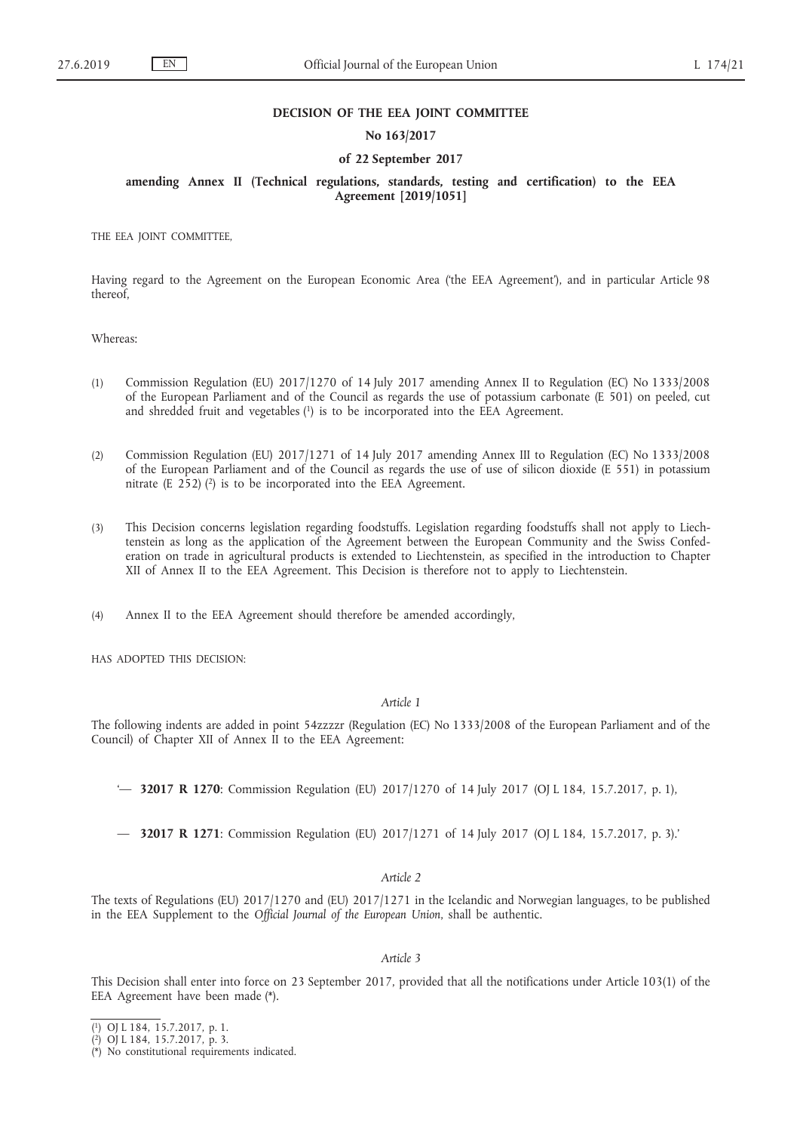#### **DECISION OF THE EEA JOINT COMMITTEE**

## **No 163/2017**

### **of 22 September 2017**

# **amending Annex II (Technical regulations, standards, testing and certification) to the EEA Agreement [2019/1051]**

THE EEA JOINT COMMITTEE,

Having regard to the Agreement on the European Economic Area ('the EEA Agreement'), and in particular Article 98 thereof,

Whereas:

- (1) Commission Regulation (EU) 2017/1270 of 14 July 2017 amending Annex II to Regulation (EC) No 1333/2008 of the European Parliament and of the Council as regards the use of potassium carbonate (E 501) on peeled, cut and shredded fruit and vegetables (1) is to be incorporated into the EEA Agreement.
- (2) Commission Regulation (EU) 2017/1271 of 14 July 2017 amending Annex III to Regulation (EC) No 1333/2008 of the European Parliament and of the Council as regards the use of use of silicon dioxide (E 551) in potassium nitrate (E  $2\overline{5}2$ ) (2) is to be incorporated into the EEA Agreement.
- (3) This Decision concerns legislation regarding foodstuffs. Legislation regarding foodstuffs shall not apply to Liechtenstein as long as the application of the Agreement between the European Community and the Swiss Confederation on trade in agricultural products is extended to Liechtenstein, as specified in the introduction to Chapter XII of Annex II to the EEA Agreement. This Decision is therefore not to apply to Liechtenstein.
- (4) Annex II to the EEA Agreement should therefore be amended accordingly,

HAS ADOPTED THIS DECISION:

# *Article 1*

The following indents are added in point 54zzzzr (Regulation (EC) No 1333/2008 of the European Parliament and of the Council) of Chapter XII of Annex II to the EEA Agreement:

'— **32017 R 1270**: Commission Regulation (EU) 2017/1270 of 14 July 2017 (OJ L 184, 15.7.2017, p. 1),

— **32017 R 1271**: Commission Regulation (EU) 2017/1271 of 14 July 2017 (OJ L 184, 15.7.2017, p. 3).'

#### *Article 2*

The texts of Regulations (EU) 2017/1270 and (EU) 2017/1271 in the Icelandic and Norwegian languages, to be published in the EEA Supplement to the *Official Journal of the European Union*, shall be authentic.

#### *Article 3*

This Decision shall enter into force on 23 September 2017, provided that all the notifications under Article 103(1) of the EEA Agreement have been made (\*).

<sup>(</sup> 1) OJ L 184, 15.7.2017, p. 1.

<sup>(</sup> 2) OJ L 184, 15.7.2017, p. 3.

<sup>(\*)</sup> No constitutional requirements indicated.